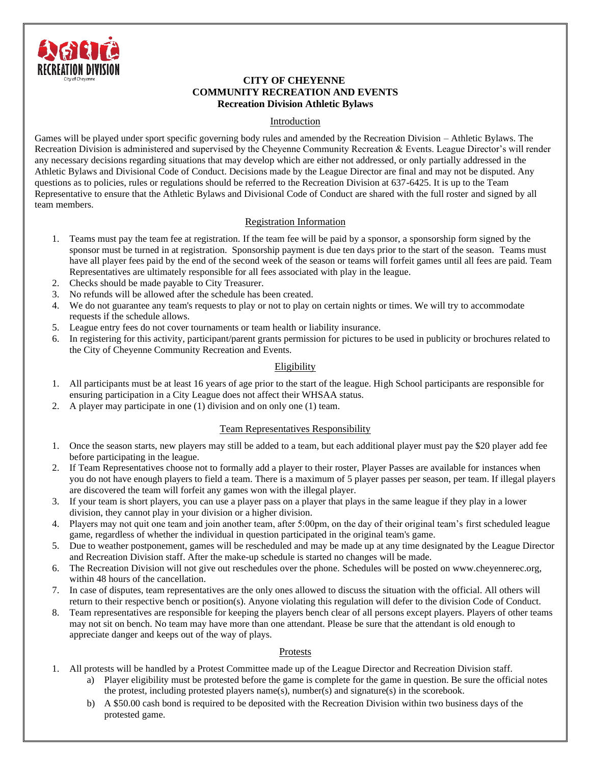

#### **CITY OF CHEYENNE COMMUNITY RECREATION AND EVENTS Recreation Division Athletic Bylaws**

## Introduction

Games will be played under sport specific governing body rules and amended by the Recreation Division – Athletic Bylaws. The Recreation Division is administered and supervised by the Cheyenne Community Recreation & Events. League Director's will render any necessary decisions regarding situations that may develop which are either not addressed, or only partially addressed in the Athletic Bylaws and Divisional Code of Conduct. Decisions made by the League Director are final and may not be disputed. Any questions as to policies, rules or regulations should be referred to the Recreation Division at 637-6425. It is up to the Team Representative to ensure that the Athletic Bylaws and Divisional Code of Conduct are shared with the full roster and signed by all team members.

# Registration Information

- 1. Teams must pay the team fee at registration. If the team fee will be paid by a sponsor, a sponsorship form signed by the sponsor must be turned in at registration. Sponsorship payment is due ten days prior to the start of the season. Teams must have all player fees paid by the end of the second week of the season or teams will forfeit games until all fees are paid. Team Representatives are ultimately responsible for all fees associated with play in the league.
- 2. Checks should be made payable to City Treasurer.
- 3. No refunds will be allowed after the schedule has been created.
- 4. We do not guarantee any team's requests to play or not to play on certain nights or times. We will try to accommodate requests if the schedule allows.
- 5. League entry fees do not cover tournaments or team health or liability insurance.
- 6. In registering for this activity, participant/parent grants permission for pictures to be used in publicity or brochures related to the City of Cheyenne Community Recreation and Events.

## Eligibility

- 1. All participants must be at least 16 years of age prior to the start of the league. High School participants are responsible for ensuring participation in a City League does not affect their WHSAA status.
- 2. A player may participate in one (1) division and on only one (1) team.

## Team Representatives Responsibility

- 1. Once the season starts, new players may still be added to a team, but each additional player must pay the \$20 player add fee before participating in the league.
- 2. If Team Representatives choose not to formally add a player to their roster, Player Passes are available for instances when you do not have enough players to field a team. There is a maximum of 5 player passes per season, per team. If illegal players are discovered the team will forfeit any games won with the illegal player.
- 3. If your team is short players, you can use a player pass on a player that plays in the same league if they play in a lower division, they cannot play in your division or a higher division.
- 4. Players may not quit one team and join another team, after 5:00pm, on the day of their original team's first scheduled league game, regardless of whether the individual in question participated in the original team's game.
- 5. Due to weather postponement, games will be rescheduled and may be made up at any time designated by the League Director and Recreation Division staff. After the make-up schedule is started no changes will be made.
- 6. The Recreation Division will not give out reschedules over the phone. Schedules will be posted on www.cheyennerec.org, within 48 hours of the cancellation.
- 7. In case of disputes, team representatives are the only ones allowed to discuss the situation with the official. All others will return to their respective bench or position(s). Anyone violating this regulation will defer to the division Code of Conduct.
- 8. Team representatives are responsible for keeping the players bench clear of all persons except players. Players of other teams may not sit on bench. No team may have more than one attendant. Please be sure that the attendant is old enough to appreciate danger and keeps out of the way of plays.

## Protests

- 1. All protests will be handled by a Protest Committee made up of the League Director and Recreation Division staff.
	- a) Player eligibility must be protested before the game is complete for the game in question. Be sure the official notes the protest, including protested players name(s), number(s) and signature(s) in the scorebook.
	- b) A \$50.00 cash bond is required to be deposited with the Recreation Division within two business days of the protested game.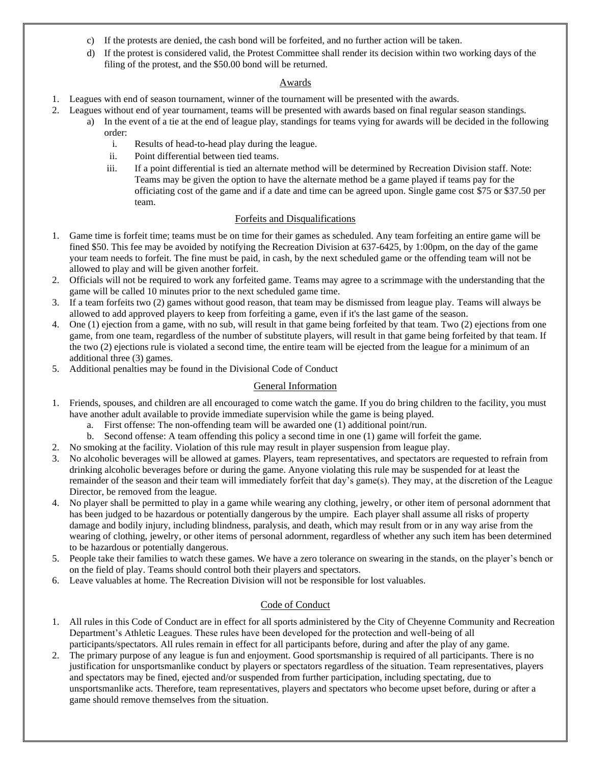- c) If the protests are denied, the cash bond will be forfeited, and no further action will be taken.
- d) If the protest is considered valid, the Protest Committee shall render its decision within two working days of the filing of the protest, and the \$50.00 bond will be returned.

## Awards

- 1. Leagues with end of season tournament, winner of the tournament will be presented with the awards.
- 2. Leagues without end of year tournament, teams will be presented with awards based on final regular season standings. a) In the event of a tie at the end of league play, standings for teams vying for awards will be decided in the following order:
	- i. Results of head-to-head play during the league.
	- ii. Point differential between tied teams.
	- iii. If a point differential is tied an alternate method will be determined by Recreation Division staff. Note: Teams may be given the option to have the alternate method be a game played if teams pay for the officiating cost of the game and if a date and time can be agreed upon. Single game cost \$75 or \$37.50 per team.

## Forfeits and Disqualifications

- 1. Game time is forfeit time; teams must be on time for their games as scheduled. Any team forfeiting an entire game will be fined \$50. This fee may be avoided by notifying the Recreation Division at 637-6425, by 1:00pm, on the day of the game your team needs to forfeit. The fine must be paid, in cash, by the next scheduled game or the offending team will not be allowed to play and will be given another forfeit.
- 2. Officials will not be required to work any forfeited game. Teams may agree to a scrimmage with the understanding that the game will be called 10 minutes prior to the next scheduled game time.
- 3. If a team forfeits two (2) games without good reason, that team may be dismissed from league play. Teams will always be allowed to add approved players to keep from forfeiting a game, even if it's the last game of the season.
- 4. One (1) ejection from a game, with no sub, will result in that game being forfeited by that team. Two (2) ejections from one game, from one team, regardless of the number of substitute players, will result in that game being forfeited by that team. If the two (2) ejections rule is violated a second time, the entire team will be ejected from the league for a minimum of an additional three (3) games.
- 5. Additional penalties may be found in the Divisional Code of Conduct

## General Information

- 1. Friends, spouses, and children are all encouraged to come watch the game. If you do bring children to the facility, you must have another adult available to provide immediate supervision while the game is being played.
	- a. First offense: The non-offending team will be awarded one (1) additional point/run.
	- b. Second offense: A team offending this policy a second time in one (1) game will forfeit the game.
- 2. No smoking at the facility. Violation of this rule may result in player suspension from league play.
- 3. No alcoholic beverages will be allowed at games. Players, team representatives, and spectators are requested to refrain from drinking alcoholic beverages before or during the game. Anyone violating this rule may be suspended for at least the remainder of the season and their team will immediately forfeit that day's game(s). They may, at the discretion of the League Director, be removed from the league.
- 4. No player shall be permitted to play in a game while wearing any clothing, jewelry, or other item of personal adornment that has been judged to be hazardous or potentially dangerous by the umpire. Each player shall assume all risks of property damage and bodily injury, including blindness, paralysis, and death, which may result from or in any way arise from the wearing of clothing, jewelry, or other items of personal adornment, regardless of whether any such item has been determined to be hazardous or potentially dangerous.
- 5. People take their families to watch these games. We have a zero tolerance on swearing in the stands, on the player's bench or on the field of play. Teams should control both their players and spectators.
- 6. Leave valuables at home. The Recreation Division will not be responsible for lost valuables.

# Code of Conduct

- 1. All rules in this Code of Conduct are in effect for all sports administered by the City of Cheyenne Community and Recreation Department's Athletic Leagues. These rules have been developed for the protection and well-being of all participants/spectators. All rules remain in effect for all participants before, during and after the play of any game.
- 2. The primary purpose of any league is fun and enjoyment. Good sportsmanship is required of all participants. There is no justification for unsportsmanlike conduct by players or spectators regardless of the situation. Team representatives, players and spectators may be fined, ejected and/or suspended from further participation, including spectating, due to unsportsmanlike acts. Therefore, team representatives, players and spectators who become upset before, during or after a game should remove themselves from the situation.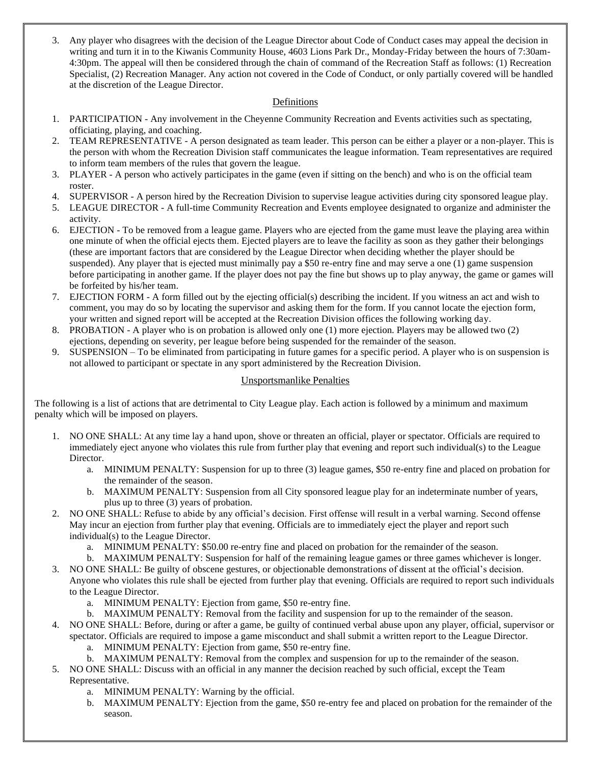3. Any player who disagrees with the decision of the League Director about Code of Conduct cases may appeal the decision in writing and turn it in to the Kiwanis Community House, 4603 Lions Park Dr., Monday-Friday between the hours of 7:30am-4:30pm. The appeal will then be considered through the chain of command of the Recreation Staff as follows: (1) Recreation Specialist, (2) Recreation Manager. Any action not covered in the Code of Conduct, or only partially covered will be handled at the discretion of the League Director.

## Definitions

- 1. PARTICIPATION Any involvement in the Cheyenne Community Recreation and Events activities such as spectating, officiating, playing, and coaching.
- 2. TEAM REPRESENTATIVE A person designated as team leader. This person can be either a player or a non-player. This is the person with whom the Recreation Division staff communicates the league information. Team representatives are required to inform team members of the rules that govern the league.
- 3. PLAYER A person who actively participates in the game (even if sitting on the bench) and who is on the official team roster.
- 4. SUPERVISOR A person hired by the Recreation Division to supervise league activities during city sponsored league play.
- 5. LEAGUE DIRECTOR A full-time Community Recreation and Events employee designated to organize and administer the activity.
- 6. EJECTION To be removed from a league game. Players who are ejected from the game must leave the playing area within one minute of when the official ejects them. Ejected players are to leave the facility as soon as they gather their belongings (these are important factors that are considered by the League Director when deciding whether the player should be suspended). Any player that is ejected must minimally pay a \$50 re-entry fine and may serve a one (1) game suspension before participating in another game. If the player does not pay the fine but shows up to play anyway, the game or games will be forfeited by his/her team.
- 7. EJECTION FORM A form filled out by the ejecting official(s) describing the incident. If you witness an act and wish to comment, you may do so by locating the supervisor and asking them for the form. If you cannot locate the ejection form, your written and signed report will be accepted at the Recreation Division offices the following working day.
- 8. PROBATION A player who is on probation is allowed only one (1) more ejection. Players may be allowed two (2) ejections, depending on severity, per league before being suspended for the remainder of the season.
- 9. SUSPENSION To be eliminated from participating in future games for a specific period. A player who is on suspension is not allowed to participant or spectate in any sport administered by the Recreation Division.

#### Unsportsmanlike Penalties

The following is a list of actions that are detrimental to City League play. Each action is followed by a minimum and maximum penalty which will be imposed on players.

- 1. NO ONE SHALL: At any time lay a hand upon, shove or threaten an official, player or spectator. Officials are required to immediately eject anyone who violates this rule from further play that evening and report such individual(s) to the League Director.
	- a. MINIMUM PENALTY: Suspension for up to three (3) league games, \$50 re-entry fine and placed on probation for the remainder of the season.
	- b. MAXIMUM PENALTY: Suspension from all City sponsored league play for an indeterminate number of years, plus up to three (3) years of probation.
- 2. NO ONE SHALL: Refuse to abide by any official's decision. First offense will result in a verbal warning. Second offense May incur an ejection from further play that evening. Officials are to immediately eject the player and report such individual(s) to the League Director.
	- a. MINIMUM PENALTY: \$50.00 re-entry fine and placed on probation for the remainder of the season.
	- b. MAXIMUM PENALTY: Suspension for half of the remaining league games or three games whichever is longer.
- 3. NO ONE SHALL: Be guilty of obscene gestures, or objectionable demonstrations of dissent at the official's decision. Anyone who violates this rule shall be ejected from further play that evening. Officials are required to report such individuals to the League Director.
	- a. MINIMUM PENALTY: Ejection from game, \$50 re-entry fine.
	- b. MAXIMUM PENALTY: Removal from the facility and suspension for up to the remainder of the season.
- 4. NO ONE SHALL: Before, during or after a game, be guilty of continued verbal abuse upon any player, official, supervisor or spectator. Officials are required to impose a game misconduct and shall submit a written report to the League Director.
	- a. MINIMUM PENALTY: Ejection from game, \$50 re-entry fine.
	- b. MAXIMUM PENALTY: Removal from the complex and suspension for up to the remainder of the season.
- 5. NO ONE SHALL: Discuss with an official in any manner the decision reached by such official, except the Team Representative.
	- a. MINIMUM PENALTY: Warning by the official.
	- b. MAXIMUM PENALTY: Ejection from the game, \$50 re-entry fee and placed on probation for the remainder of the season.